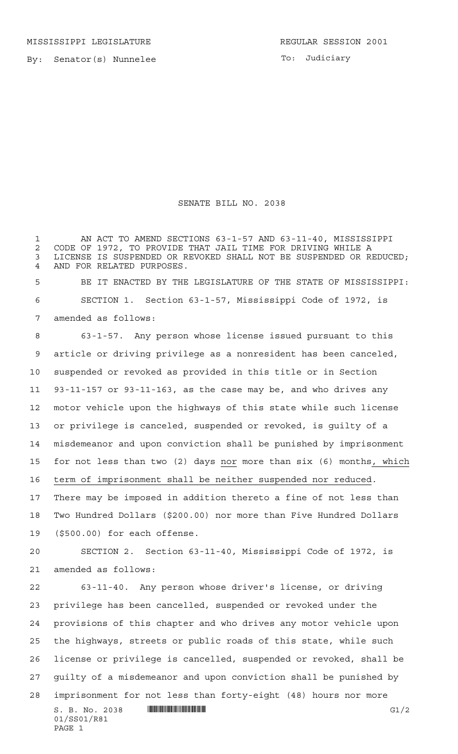By: Senator(s) Nunnelee

To: Judiciary

## SENATE BILL NO. 2038

 $S. B. No. 2038$  **INNIFICALLY INSTEAD IN THE CONSERVANT CONSERVANT CONSERVANT CONSERVANT CONSERVANT CONSERVANT CONSERVANT CONSERVANT CONSERVANT CONSERVANT CONSERVANT CONSERVANT CONSERVANT CONSERVANT CONSERVANT CONSERVANT C**  AN ACT TO AMEND SECTIONS 63-1-57 AND 63-11-40, MISSISSIPPI CODE OF 1972, TO PROVIDE THAT JAIL TIME FOR DRIVING WHILE A LICENSE IS SUSPENDED OR REVOKED SHALL NOT BE SUSPENDED OR REDUCED; AND FOR RELATED PURPOSES. BE IT ENACTED BY THE LEGISLATURE OF THE STATE OF MISSISSIPPI: SECTION 1. Section 63-1-57, Mississippi Code of 1972, is amended as follows: 63-1-57. Any person whose license issued pursuant to this article or driving privilege as a nonresident has been canceled, suspended or revoked as provided in this title or in Section 93-11-157 or 93-11-163, as the case may be, and who drives any motor vehicle upon the highways of this state while such license or privilege is canceled, suspended or revoked, is guilty of a misdemeanor and upon conviction shall be punished by imprisonment for not less than two (2) days nor more than six (6) months, which term of imprisonment shall be neither suspended nor reduced. There may be imposed in addition thereto a fine of not less than Two Hundred Dollars (\$200.00) nor more than Five Hundred Dollars (\$500.00) for each offense. SECTION 2. Section 63-11-40, Mississippi Code of 1972, is amended as follows: 63-11-40. Any person whose driver's license, or driving privilege has been cancelled, suspended or revoked under the provisions of this chapter and who drives any motor vehicle upon the highways, streets or public roads of this state, while such license or privilege is cancelled, suspended or revoked, shall be guilty of a misdemeanor and upon conviction shall be punished by imprisonment for not less than forty-eight (48) hours nor more

01/SS01/R81 PAGE 1